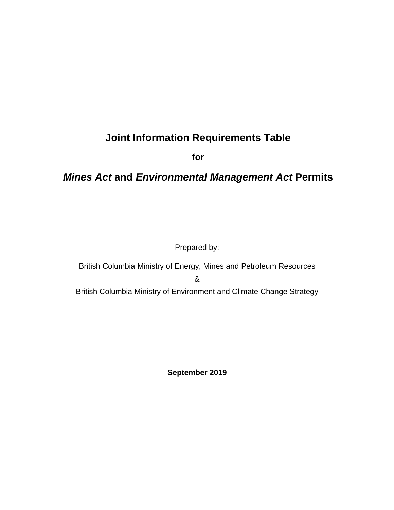# **Joint Information Requirements Table**

**for**

## *Mines Act* **and** *Environmental Management Act* **Permits**

### Prepared by:

British Columbia Ministry of Energy, Mines and Petroleum Resources & British Columbia Ministry of Environment and Climate Change Strategy

**September 2019**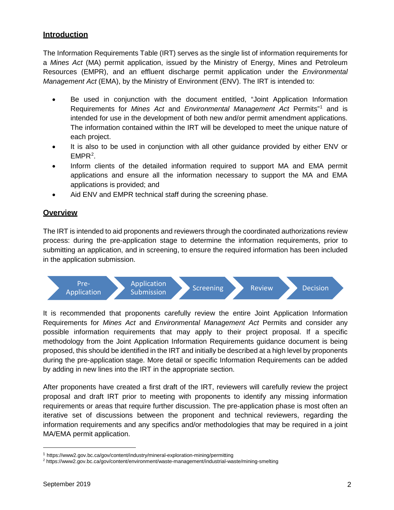### **Introduction**

The Information Requirements Table (IRT) serves as the single list of information requirements for a *Mines Act* (MA) permit application, issued by the Ministry of Energy, Mines and Petroleum Resources (EMPR), and an effluent discharge permit application under the *Environmental Management Act* (EMA), by the Ministry of Environment (ENV). The IRT is intended to:

- Be used in conjunction with the document entitled, "Joint Application Information Requirements for *Mines Act* and *Environmental Management Act* Permits"[1](#page-1-0) and is intended for use in the development of both new and/or permit amendment applications. The information contained within the IRT will be developed to meet the unique nature of each project.
- It is also to be used in conjunction with all other guidance provided by either ENV or  $EMPR<sup>2</sup>$  $EMPR<sup>2</sup>$  $EMPR<sup>2</sup>$ .
- Inform clients of the detailed information required to support MA and EMA permit applications and ensure all the information necessary to support the MA and EMA applications is provided; and
- Aid ENV and EMPR technical staff during the screening phase.

#### **Overview**

The IRT is intended to aid proponents and reviewers through the coordinated authorizations review process: during the pre-application stage to determine the information requirements, prior to submitting an application, and in screening, to ensure the required information has been included in the application submission.



It is recommended that proponents carefully review the entire Joint Application Information Requirements for *Mines Act* and *Environmental Management Act* Permits and consider any possible information requirements that may apply to their project proposal. If a specific methodology from the Joint Application Information Requirements guidance document is being proposed, this should be identified in the IRT and initially be described at a high level by proponents during the pre-application stage. More detail or specific Information Requirements can be added by adding in new lines into the IRT in the appropriate section.

After proponents have created a first draft of the IRT, reviewers will carefully review the project proposal and draft IRT prior to meeting with proponents to identify any missing information requirements or areas that require further discussion. The pre-application phase is most often an iterative set of discussions between the proponent and technical reviewers, regarding the information requirements and any specifics and/or methodologies that may be required in a joint MA/EMA permit application.

<span id="page-1-0"></span> <sup>1</sup> https://www2.gov.bc.ca/gov/content/industry/mineral-exploration-mining/permitting

<span id="page-1-1"></span><sup>2</sup> https://www2.gov.bc.ca/gov/content/environment/waste-management/industrial-waste/mining-smelting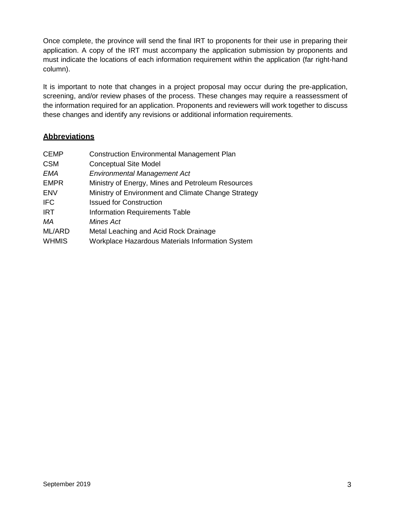Once complete, the province will send the final IRT to proponents for their use in preparing their application. A copy of the IRT must accompany the application submission by proponents and must indicate the locations of each information requirement within the application (far right-hand column).

It is important to note that changes in a project proposal may occur during the pre-application, screening, and/or review phases of the process. These changes may require a reassessment of the information required for an application. Proponents and reviewers will work together to discuss these changes and identify any revisions or additional information requirements.

#### **Abbreviations**

| <b>CEMP</b>  | <b>Construction Environmental Management Plan</b>   |
|--------------|-----------------------------------------------------|
| <b>CSM</b>   | <b>Conceptual Site Model</b>                        |
| EMA          | <b>Environmental Management Act</b>                 |
| <b>EMPR</b>  | Ministry of Energy, Mines and Petroleum Resources   |
| <b>ENV</b>   | Ministry of Environment and Climate Change Strategy |
| <b>IFC</b>   | <b>Issued for Construction</b>                      |
| <b>IRT</b>   | <b>Information Requirements Table</b>               |
| МA           | Mines Act                                           |
| ML/ARD       | Metal Leaching and Acid Rock Drainage               |
| <b>WHMIS</b> | Workplace Hazardous Materials Information System    |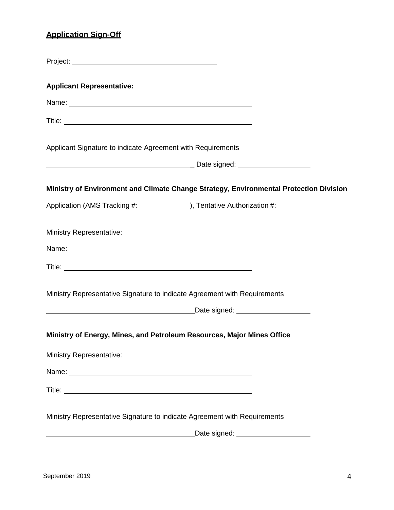## **Application Sign-Off**

| <b>Applicant Representative:</b>                                                                                                                                                                                                     |
|--------------------------------------------------------------------------------------------------------------------------------------------------------------------------------------------------------------------------------------|
| Name: Name:                                                                                                                                                                                                                          |
|                                                                                                                                                                                                                                      |
| Applicant Signature to indicate Agreement with Requirements                                                                                                                                                                          |
| and the contract of the contract of the contract of Date signed:                                                                                                                                                                     |
| Ministry of Environment and Climate Change Strategy, Environmental Protection Division                                                                                                                                               |
| Application (AMS Tracking #: 1990), Tentative Authorization #: 1990                                                                                                                                                                  |
| <b>Ministry Representative:</b>                                                                                                                                                                                                      |
| Name: <u>example and a series of the series of the series of the series of the series of the series of the series of the series of the series of the series of the series of the series of the series of the series of the serie</u> |
|                                                                                                                                                                                                                                      |
| Ministry Representative Signature to indicate Agreement with Requirements                                                                                                                                                            |
| <u>Date signed:</u> Natural Manual Contract Date signed:                                                                                                                                                                             |
| Ministry of Energy, Mines, and Petroleum Resources, Major Mines Office                                                                                                                                                               |
| <b>Ministry Representative:</b>                                                                                                                                                                                                      |
|                                                                                                                                                                                                                                      |
|                                                                                                                                                                                                                                      |
| Ministry Representative Signature to indicate Agreement with Requirements<br>Date signed: _____________________                                                                                                                      |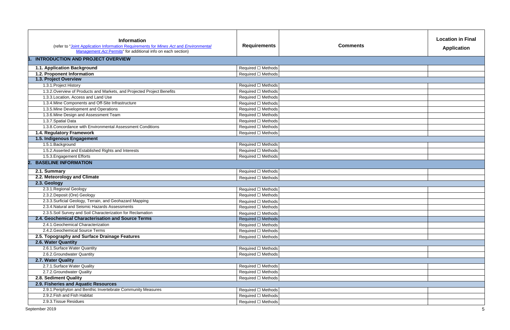| <b>Information</b><br>(refer to "Joint Application Information Requirements for Mines Act and Environmental<br>Management Act Permits" for additional info on each section)<br><b>INTRODUCTION AND PROJECT OVERVIEW</b> | <b>Requirements</b>     | <b>Comments</b> | <b>Location in Final</b><br><b>Application</b> |
|-------------------------------------------------------------------------------------------------------------------------------------------------------------------------------------------------------------------------|-------------------------|-----------------|------------------------------------------------|
|                                                                                                                                                                                                                         |                         |                 |                                                |
| 1.1. Application Background                                                                                                                                                                                             | Required □ Methods      |                 |                                                |
| 1.2. Proponent Information                                                                                                                                                                                              | Required □ Methods      |                 |                                                |
| 1.3. Project Overview                                                                                                                                                                                                   |                         |                 |                                                |
| 1.3.1. Project History                                                                                                                                                                                                  | Required □ Methods      |                 |                                                |
| 1.3.2. Overview of Products and Markets, and Projected Project Benefits                                                                                                                                                 | Required □ Methods      |                 |                                                |
| 1.3.3. Location, Access and Land Use                                                                                                                                                                                    | Required □ Methods      |                 |                                                |
| 1.3.4. Mine Components and Off-Site Infrastructure                                                                                                                                                                      | Required □ Methods      |                 |                                                |
| 1.3.5. Mine Development and Operations                                                                                                                                                                                  | Required □ Methods      |                 |                                                |
| 1.3.6. Mine Design and Assessment Team                                                                                                                                                                                  | Required □ Methods      |                 |                                                |
| 1.3.7. Spatial Data                                                                                                                                                                                                     | Required □ Methods      |                 |                                                |
| 1.3.8. Concordance with Environmental Assessment Conditions                                                                                                                                                             | Required □ Methods      |                 |                                                |
| 1.4. Regulatory Framework                                                                                                                                                                                               | Required □ Methods      |                 |                                                |
| 1.5. Indigenous Engagement                                                                                                                                                                                              |                         |                 |                                                |
| 1.5.1. Background                                                                                                                                                                                                       | Required □ Methods      |                 |                                                |
| 1.5.2. Asserted and Established Rights and Interests                                                                                                                                                                    | Required □ Methods      |                 |                                                |
| 1.5.3. Engagement Efforts                                                                                                                                                                                               | Required □ Methods      |                 |                                                |
| <b>BASELINE INFORMATION</b><br>2.                                                                                                                                                                                       |                         |                 |                                                |
| 2.1. Summary                                                                                                                                                                                                            | Required □ Methods      |                 |                                                |
| 2.2. Meteorology and Climate                                                                                                                                                                                            | Required □ Methods      |                 |                                                |
| 2.3. Geology                                                                                                                                                                                                            |                         |                 |                                                |
| 2.3.1. Regional Geology                                                                                                                                                                                                 | Required □ Methods      |                 |                                                |
| 2.3.2. Deposit (Ore) Geology                                                                                                                                                                                            | Required □ Methods      |                 |                                                |
| 2.3.3. Surficial Geology, Terrain, and Geohazard Mapping                                                                                                                                                                | Required □ Methods      |                 |                                                |
| 2.3.4. Natural and Seismic Hazards Assessments                                                                                                                                                                          | Required □ Methods      |                 |                                                |
| 2.3.5. Soil Survey and Soil Characterization for Reclamation                                                                                                                                                            | Required $\Box$ Methods |                 |                                                |
| 2.4. Geochemical Characterisation and Source Terms                                                                                                                                                                      | Required □ Methods      |                 |                                                |
| 2.4.1. Geochemical Characterization                                                                                                                                                                                     | Required □ Methods      |                 |                                                |
| 2.4.2. Geochemical Source Terms                                                                                                                                                                                         | Required □ Methods      |                 |                                                |
| 2.5. Topography and Surface Drainage Features                                                                                                                                                                           | Required □ Methods      |                 |                                                |
| 2.6. Water Quantity                                                                                                                                                                                                     |                         |                 |                                                |
| 2.6.1. Surface Water Quantity                                                                                                                                                                                           | Required □ Methods      |                 |                                                |
| 2.6.2. Groundwater Quantity                                                                                                                                                                                             | Required □ Methods      |                 |                                                |
| 2.7. Water Quality                                                                                                                                                                                                      |                         |                 |                                                |
| 2.7.1. Surface Water Quality                                                                                                                                                                                            | Required □ Methods      |                 |                                                |
| 2.7.2. Groundwater Quality                                                                                                                                                                                              | Required □ Methods      |                 |                                                |
| 2.8. Sediment Quality                                                                                                                                                                                                   | Required □ Methods      |                 |                                                |
| 2.9. Fisheries and Aquatic Resources                                                                                                                                                                                    |                         |                 |                                                |
| 2.9.1. Periphyton and Benthic Invertebrate Community Measures                                                                                                                                                           | Required □ Methods      |                 |                                                |
| 2.9.2. Fish and Fish Habitat                                                                                                                                                                                            | Required □ Methods      |                 |                                                |
| 2.9.3. Tissue Residues                                                                                                                                                                                                  | Required □ Methods      |                 |                                                |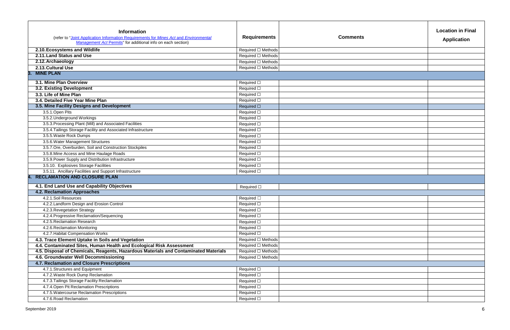| <b>Location in Final</b><br><b>Application</b> |
|------------------------------------------------|
|                                                |
|                                                |
|                                                |
|                                                |
|                                                |
|                                                |
|                                                |
|                                                |
|                                                |
|                                                |
|                                                |
|                                                |
|                                                |
|                                                |
|                                                |
|                                                |
|                                                |
|                                                |
|                                                |

| <b>Information</b><br>(refer to "Joint Application Information Requirements for Mines Act and Environmental<br>Management Act Permits" for additional info on each section) | <b>Requirements</b> | <b>Comments</b> |
|-----------------------------------------------------------------------------------------------------------------------------------------------------------------------------|---------------------|-----------------|
| 2.10. Ecosystems and Wildlife                                                                                                                                               | Required □ Methods  |                 |
| 2.11. Land Status and Use                                                                                                                                                   | Required □ Methods  |                 |
| 2.12. Archaeology                                                                                                                                                           | Required □ Methods  |                 |
| 2.13. Cultural Use                                                                                                                                                          | Required □ Methods  |                 |
| <b>MINE PLAN</b><br>3.                                                                                                                                                      |                     |                 |
|                                                                                                                                                                             |                     |                 |
| 3.1. Mine Plan Overview                                                                                                                                                     | Required □          |                 |
| 3.2. Existing Development                                                                                                                                                   | Required $\square$  |                 |
| 3.3. Life of Mine Plan                                                                                                                                                      | Required $\square$  |                 |
| 3.4. Detailed Five Year Mine Plan                                                                                                                                           | Required $\square$  |                 |
| 3.5. Mine Facility Designs and Development                                                                                                                                  | Required $\square$  |                 |
| 3.5.1.Open Pits                                                                                                                                                             | Required $\square$  |                 |
| 3.5.2. Underground Workings                                                                                                                                                 | Required $\square$  |                 |
| 3.5.3. Processing Plant (Mill) and Associated Facilities                                                                                                                    | Required $\square$  |                 |
| 3.5.4. Tailings Storage Facility and Associated Infrastructure                                                                                                              | Required □          |                 |
| 3.5.5. Waste Rock Dumps                                                                                                                                                     | Required □          |                 |
| 3.5.6. Water Management Structures                                                                                                                                          | Required $\square$  |                 |
| 3.5.7. Ore, Overburden, Soil and Construction Stockpiles                                                                                                                    | Required $\square$  |                 |
| 3.5.8. Mine Access and Mine Haulage Roads                                                                                                                                   | Required $\square$  |                 |
| 3.5.9. Power Supply and Distribution Infrastructure                                                                                                                         | Required $\square$  |                 |
| 3.5.10. Explosives Storage Facilities                                                                                                                                       | Required $\square$  |                 |
| 3.5.11. Ancillary Facilities and Support Infrastructure                                                                                                                     | Required $\square$  |                 |
| <b>RECLAMATION AND CLOSURE PLAN</b><br>4.                                                                                                                                   |                     |                 |
| 4.1. End Land Use and Capability Objectives                                                                                                                                 | Required $\square$  |                 |
| <b>4.2. Reclamation Approaches</b>                                                                                                                                          |                     |                 |
| 4.2.1.Soil Resources                                                                                                                                                        | Required □          |                 |
| 4.2.2. Landform Design and Erosion Control                                                                                                                                  | Required $\square$  |                 |
| 4.2.3. Revegetation Strategy                                                                                                                                                | Required $\square$  |                 |
| 4.2.4. Progressive Reclamation/Sequencing                                                                                                                                   | Required $\square$  |                 |
| 4.2.5. Reclamation Research                                                                                                                                                 | Required $\square$  |                 |
| 4.2.6. Reclamation Monitoring                                                                                                                                               | Required $\square$  |                 |
| 4.2.7. Habitat Compensation Works                                                                                                                                           | Required $\square$  |                 |
| 4.3. Trace Element Uptake in Soils and Vegetation                                                                                                                           | Required □ Methods  |                 |
| 4.4. Contaminated Sites, Human Health and Ecological Risk Assessment                                                                                                        | Required □ Methods  |                 |
| 4.5. Disposal of Chemicals, Reagents, Hazardous Materials and Contaminated Materials                                                                                        | Required □ Methods  |                 |
| 4.6. Groundwater Well Decommissioning                                                                                                                                       | Required □ Methods  |                 |
| 4.7. Reclamation and Closure Prescriptions                                                                                                                                  |                     |                 |
| 4.7.1. Structures and Equipment                                                                                                                                             | Required $\square$  |                 |
| 4.7.2. Waste Rock Dump Reclamation                                                                                                                                          | Required $\square$  |                 |
| 4.7.3. Tailings Storage Facility Reclamation                                                                                                                                | Required $\square$  |                 |
| 4.7.4. Open Pit Reclamation Prescriptions                                                                                                                                   | Required $\square$  |                 |
| 4.7.5. Watercourse Reclamation Prescriptions                                                                                                                                | Required $\square$  |                 |
| 4.7.6. Road Reclamation                                                                                                                                                     | Required $\square$  |                 |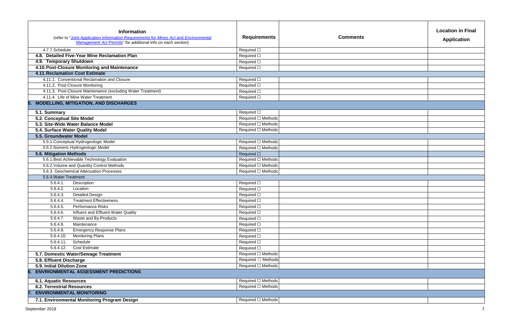| <b>Location in Final</b><br>Application |
|-----------------------------------------|
|                                         |
|                                         |
|                                         |
|                                         |
|                                         |
|                                         |
|                                         |
|                                         |
|                                         |
|                                         |
|                                         |
|                                         |
|                                         |
|                                         |
|                                         |
|                                         |
|                                         |
|                                         |
|                                         |

| <b>Information</b>                                                                                                                                    |                     |                 |
|-------------------------------------------------------------------------------------------------------------------------------------------------------|---------------------|-----------------|
| (refer to "Joint Application Information Requirements for Mines Act and Environmental<br>Management Act Permits" for additional info on each section) | <b>Requirements</b> | <b>Comments</b> |
| 4.7.7.Schedule                                                                                                                                        | Required $\square$  |                 |
| 4.8. Detailed Five-Year Mine Reclamation Plan                                                                                                         | Required □          |                 |
| 4.9. Temporary Shutdown                                                                                                                               | Required $\square$  |                 |
| 4.10. Post-Closure Monitoring and Maintenance                                                                                                         | Required $\square$  |                 |
| <b>4.11. Reclamation Cost Estimate</b>                                                                                                                |                     |                 |
| 4.11.1. Conventional Reclamation and Closure                                                                                                          | Required $\square$  |                 |
| 4.11.2. Post-Closure Monitoring                                                                                                                       | Required $\square$  |                 |
| 4.11.3. Post-Closure Maintenance (excluding Water Treatment)                                                                                          | Required $\square$  |                 |
| 4.11.4. Life of Mine Water Treatment                                                                                                                  | Required □          |                 |
| <b>MODELLING, MITIGATION, AND DISCHARGES</b><br>5.                                                                                                    |                     |                 |
| 5.1. Summary                                                                                                                                          | Required □          |                 |
| 5.2. Conceptual Site Model                                                                                                                            | Required □ Methods  |                 |
| 5.3. Site-Wide Water Balance Model                                                                                                                    | Required □ Methods  |                 |
| 5.4. Surface Water Quality Model                                                                                                                      | Required □ Methods  |                 |
| 5.5. Groundwater Model                                                                                                                                |                     |                 |
| 5.5.1. Conceptual Hydrogeologic Model                                                                                                                 | Required □ Methods  |                 |
| 5.5.2. Numeric Hydrogeologic Model                                                                                                                    | Required □ Methods  |                 |
| 5.6. Mitigation Methods                                                                                                                               | Required $\square$  |                 |
| 5.6.1. Best Achievable Technology Evaluation                                                                                                          | Required □ Methods  |                 |
| 5.6.2. Volume and Quantity Control Methods                                                                                                            | Required □ Methods  |                 |
| 5.6.3. Geochemical Attenuation Processes                                                                                                              | Required □ Methods  |                 |
| 5.6.4. Water Treatment                                                                                                                                |                     |                 |
| 5.6.4.1.<br>Description                                                                                                                               | Required □          |                 |
| 5.6.4.2.<br>Location                                                                                                                                  | Required $\square$  |                 |
| <b>Detailed Design</b><br>5.6.4.3.                                                                                                                    | Required $\square$  |                 |
| <b>Treatment Effectiveness</b><br>5.6.4.4.                                                                                                            | Required □          |                 |
| 5.6.4.5.<br>Performance Risks                                                                                                                         | Required □          |                 |
| 5.6.4.6.<br>Influent and Effluent Water Quality                                                                                                       | Required $\square$  |                 |
| Waste and By-Products<br>5.6.4.7.                                                                                                                     | Required $\square$  |                 |
| Maintenance<br>5.6.4.8.                                                                                                                               | Required $\square$  |                 |
| <b>Emergency Response Plans</b><br>5.6.4.9.                                                                                                           | Required □          |                 |
| Monitoring Plans<br>5.6.4.10.                                                                                                                         | Required □          |                 |
| Schedule<br>5.6.4.11.                                                                                                                                 | Required $\square$  |                 |
| 5.6.4.12.<br><b>Cost Estimate</b>                                                                                                                     | Required $\square$  |                 |
| 5.7. Domestic Water/Sewage Treatment                                                                                                                  | Required □ Methods  |                 |
| 5.8. Effluent Discharge                                                                                                                               | Required □ Methods  |                 |
| 5.9. Initial Dilution Zone                                                                                                                            | Required □ Methods  |                 |
| <b>ENVRIONMENTAL ASSESSMENT PREDICTIONS</b><br>6.                                                                                                     |                     |                 |
| <b>6.1. Aquatic Resources</b>                                                                                                                         | Required □ Methods  |                 |
| <b>6.2. Terrestrial Resources</b>                                                                                                                     | Required □ Methods  |                 |
| <b>ENVIRONMENTAL MONITORING</b><br>7.                                                                                                                 |                     |                 |
| 7.1. Environmental Monitoring Program Design                                                                                                          | Required □ Methods  |                 |